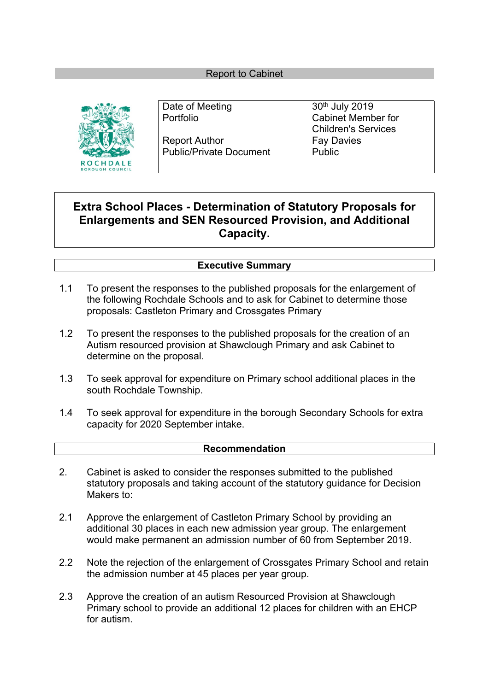#### Report to Cabinet



Date of Meeting 30<sup>th</sup> July 2019

Report Author Fay Davies Public/Private Document Public

Portfolio Cabinet Member for Children's Services

# **Extra School Places - Determination of Statutory Proposals for Enlargements and SEN Resourced Provision, and Additional Capacity.**

### **Executive Summary**

- 1.1 To present the responses to the published proposals for the enlargement of the following Rochdale Schools and to ask for Cabinet to determine those proposals: Castleton Primary and Crossgates Primary
- 1.2 To present the responses to the published proposals for the creation of an Autism resourced provision at Shawclough Primary and ask Cabinet to determine on the proposal.
- 1.3 To seek approval for expenditure on Primary school additional places in the south Rochdale Township.
- 1.4 To seek approval for expenditure in the borough Secondary Schools for extra capacity for 2020 September intake.

#### **Recommendation**

- 2. Cabinet is asked to consider the responses submitted to the published statutory proposals and taking account of the statutory guidance for Decision Makers to:
- 2.1 Approve the enlargement of Castleton Primary School by providing an additional 30 places in each new admission year group. The enlargement would make permanent an admission number of 60 from September 2019.
- 2.2 Note the rejection of the enlargement of Crossgates Primary School and retain the admission number at 45 places per year group.
- 2.3 Approve the creation of an autism Resourced Provision at Shawclough Primary school to provide an additional 12 places for children with an EHCP for autism.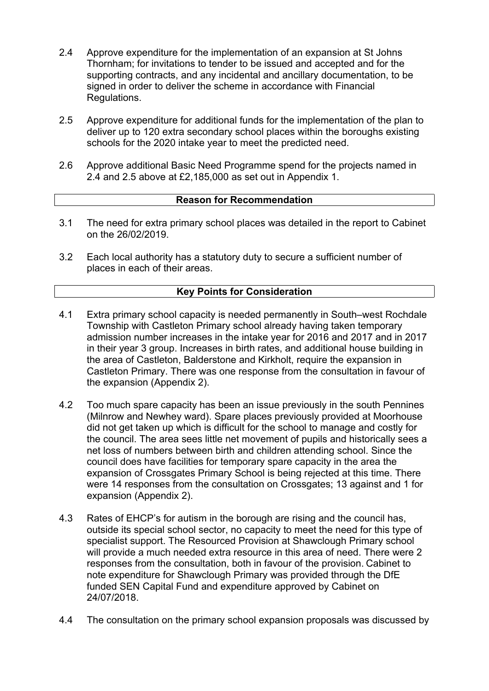- 2.4 Approve expenditure for the implementation of an expansion at St Johns Thornham; for invitations to tender to be issued and accepted and for the supporting contracts, and any incidental and ancillary documentation, to be signed in order to deliver the scheme in accordance with Financial Regulations.
- 2.5 Approve expenditure for additional funds for the implementation of the plan to deliver up to 120 extra secondary school places within the boroughs existing schools for the 2020 intake year to meet the predicted need.
- 2.6 Approve additional Basic Need Programme spend for the projects named in 2.4 and 2.5 above at £2,185,000 as set out in Appendix 1.

#### **Reason for Recommendation**

- 3.1 The need for extra primary school places was detailed in the report to Cabinet on the 26/02/2019.
- 3.2 Each local authority has a statutory duty to secure a sufficient number of places in each of their areas.

#### **Key Points for Consideration**

- 4.1 Extra primary school capacity is needed permanently in South–west Rochdale Township with Castleton Primary school already having taken temporary admission number increases in the intake year for 2016 and 2017 and in 2017 in their year 3 group. Increases in birth rates, and additional house building in the area of Castleton, Balderstone and Kirkholt, require the expansion in Castleton Primary. There was one response from the consultation in favour of the expansion (Appendix 2).
- 4.2 Too much spare capacity has been an issue previously in the south Pennines (Milnrow and Newhey ward). Spare places previously provided at Moorhouse did not get taken up which is difficult for the school to manage and costly for the council. The area sees little net movement of pupils and historically sees a net loss of numbers between birth and children attending school. Since the council does have facilities for temporary spare capacity in the area the expansion of Crossgates Primary School is being rejected at this time. There were 14 responses from the consultation on Crossgates; 13 against and 1 for expansion (Appendix 2).
- 4.3 Rates of EHCP's for autism in the borough are rising and the council has, outside its special school sector, no capacity to meet the need for this type of specialist support. The Resourced Provision at Shawclough Primary school will provide a much needed extra resource in this area of need. There were 2 responses from the consultation, both in favour of the provision. Cabinet to note expenditure for Shawclough Primary was provided through the DfE funded SEN Capital Fund and expenditure approved by Cabinet on 24/07/2018.
- 4.4 The consultation on the primary school expansion proposals was discussed by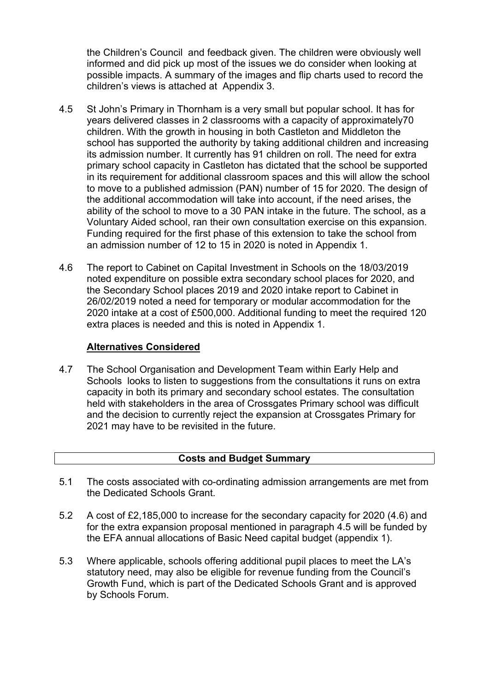the Children's Council and feedback given. The children were obviously well informed and did pick up most of the issues we do consider when looking at possible impacts. A summary of the images and flip charts used to record the children's views is attached at Appendix 3.

- 4.5 St John's Primary in Thornham is a very small but popular school. It has for years delivered classes in 2 classrooms with a capacity of approximately70 children. With the growth in housing in both Castleton and Middleton the school has supported the authority by taking additional children and increasing its admission number. It currently has 91 children on roll. The need for extra primary school capacity in Castleton has dictated that the school be supported in its requirement for additional classroom spaces and this will allow the school to move to a published admission (PAN) number of 15 for 2020. The design of the additional accommodation will take into account, if the need arises, the ability of the school to move to a 30 PAN intake in the future. The school, as a Voluntary Aided school, ran their own consultation exercise on this expansion. Funding required for the first phase of this extension to take the school from an admission number of 12 to 15 in 2020 is noted in Appendix 1.
- 4.6 The report to Cabinet on Capital Investment in Schools on the 18/03/2019 noted expenditure on possible extra secondary school places for 2020, and the Secondary School places 2019 and 2020 intake report to Cabinet in 26/02/2019 noted a need for temporary or modular accommodation for the 2020 intake at a cost of £500,000. Additional funding to meet the required 120 extra places is needed and this is noted in Appendix 1.

#### **Alternatives Considered**

4.7 The School Organisation and Development Team within Early Help and Schools looks to listen to suggestions from the consultations it runs on extra capacity in both its primary and secondary school estates. The consultation held with stakeholders in the area of Crossgates Primary school was difficult and the decision to currently reject the expansion at Crossgates Primary for 2021 may have to be revisited in the future.

## **Costs and Budget Summary**

- 5.1 The costs associated with co-ordinating admission arrangements are met from the Dedicated Schools Grant.
- 5.2 A cost of £2,185,000 to increase for the secondary capacity for 2020 (4.6) and for the extra expansion proposal mentioned in paragraph 4.5 will be funded by the EFA annual allocations of Basic Need capital budget (appendix 1).
- 5.3 Where applicable, schools offering additional pupil places to meet the LA's statutory need, may also be eligible for revenue funding from the Council's Growth Fund, which is part of the Dedicated Schools Grant and is approved by Schools Forum.